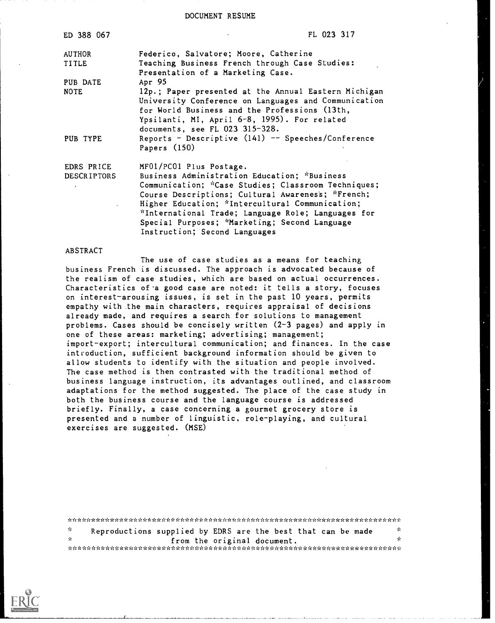DOCUMENT RESUME

| ED 388 067         | FL 023 317                                                                                                                                                                                                                                      |
|--------------------|-------------------------------------------------------------------------------------------------------------------------------------------------------------------------------------------------------------------------------------------------|
| <b>AUTHOR</b>      | Federico, Salvatore; Moore, Catherine                                                                                                                                                                                                           |
| TITLE              | Teaching Business French through Case Studies:<br>Presentation of a Marketing Case.                                                                                                                                                             |
| PUB DATE           | Apr 95                                                                                                                                                                                                                                          |
| <b>NOTE</b>        | 12p.; Paper presented at the Annual Eastern Michigan<br>University Conference on Languages and Communication<br>for World Business and the Professions (13th,<br>Ypsilanti, MI, April 6-8, 1995). For related<br>documents, see FL 023 315-328. |
| PUB TYPE           | Reports - Descriptive $(141)$ -- Speeches/Conference<br>Papers (150)                                                                                                                                                                            |
| EDRS PRICE         | MF01/PC01 Plus Postage.                                                                                                                                                                                                                         |
| <b>DESCRIPTORS</b> | Business Administration Education; "Business                                                                                                                                                                                                    |
|                    | Communication; "Case Studies; Classroom Techniques;                                                                                                                                                                                             |
|                    | Course Descriptions; Cultural Awareness; *French;                                                                                                                                                                                               |
|                    | Higher Education; *Intercultural Communication;                                                                                                                                                                                                 |
|                    | *International Trade; Language Role; Languages for                                                                                                                                                                                              |
|                    | Special Purposes; *Marketing; Second Language                                                                                                                                                                                                   |
|                    | Instruction; Second Languages                                                                                                                                                                                                                   |

ABSTRACT

The use of case studies as a means for teaching business French is discussed. The approach is advocated because of the realism of case studies, which are based on actual occurrences. Characteristics of'a good case are noted: it tells a story, focuses on interest-arousing issues, is set in the past 10 years, permits empathy with the main characters, requires appraisal of decisions already made, and requires a search for solutions to management problems. Cases should be concisely written (2-3 pages) and apply in one of these areas: marketing; advertising; management; import-export; intercultural communication; and finances. In the case introduction, sufficient background information should be given to allow students to identify with the situation and people involved. The case method is then contrasted with the traditional method of business language instruction, its advantages outlined, and classroom adaptations for the method suggested. The place of the case study in both the business course and the language course is addressed briefly. Finally, a case concerning a gourmet grocery store is presented and a number of linguistic, role-playing, and cultural exercises are suggested. (MSE)

\*\*\*\*\*\*\*\*\*\*\*\*\*\*\*\*\*\*\*\*\*\*\*\*\*\*\*\*\*\*\*\*\*\*\*\*\*\*\*\*\*\*\*\*\*\*\*\*\*\*\*\*\*\*\*\*\*\*\*\*\*\* \*\*\*\*\*\* \* \* Reproductions supplied by EDRS are the best that can be made from the original document. \*\*\*\*\*\*\*\*\*\*\*\*\*\*\*\*\*\*\*\*\*\*\*\*\*\* \* \*

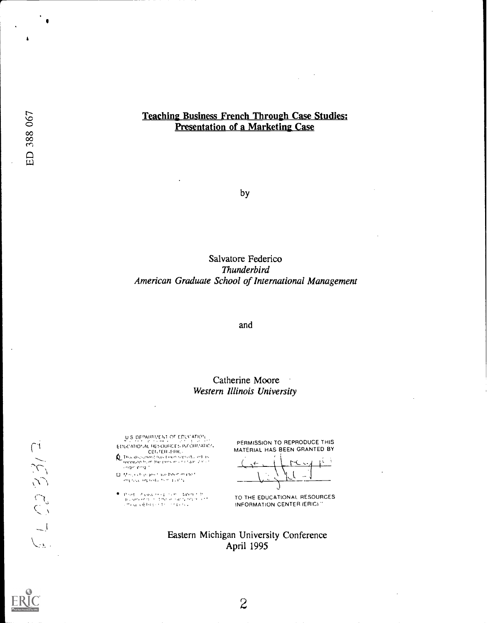#### Teaching Business French Through Case Studies: Presentation of a Marketing Case

by

#### Salvatore Federico Thunderbird American Graduate School of International Management

and

#### Catherine Moore Western Illinois University

 $\pmb{\Lambda}$ 

 $\frac{1}{2}$  (23 33/3)

U.S. DEPARTMENT OF EDUCATION [ ] [ ] [ ] [ ] ] [ ] ] [ ] ] [ ] ] [ ] ] [ ] ] [ ] [ ] [ ] ] [ ] ] [ ] [ ] [ ] ] [ ] [ ] [ ] [ ] [ ] [ ] [ ] [ ] [ ] [ ] [ ] [ ] [ ] [ ] [ ] [ ] [ ] [ ] [ ] [ ] [ ] [ ] [ ] [ ] [ ] [ ] [ ] [ ] E DUCATIONAL RESOURCES INFI

CENTER (FRIG)<br>dictioned has been ropited, led as

 $\begin{split} \Box\cdot\mathcal{H}^{(0)}(x) \geqslant 0 &\text{ if } \omega\in\mathbb{R}^{n+1} \text{ if } \omega\in\mathbb{R}^{n+m} \text{ and } \omega\in\mathbb{R}^{n+m} \end{split}$ 

 $\begin{array}{l} \P: \text{point} : \mathcal{A} \text{ vector} \text{ vector} : \text{Luler} \neq 0 \\ \text{function} \text{ vector} : \text{Luler} \text{ vector} : \text{int} \text{ vector} \text{ vector} : \text{int} \text{ vector} : \text{int} \text{ vector} : \text{int} \text{ vector} : \text{int} \text{ vector} : \text{int} \text{ vector} : \text{int} \text{ vector} : \text{int} \text{ vector} : \text{int} \text{ vector} : \text{int} \text{ vector} : \text{int} \text{ vector} : \text{int} \text{ vector} : \text{int} \text{ vector} : \text{int$ 

PERMISSION TO REPRODUCE THIS MATERIAL HAS BEEN GRANTED BY

 $\left\{ \begin{array}{c} 1 \\ 1 \end{array} \right.$ 

TO THE EDUCATIONAL RESOURCES INFORMATION CENTER (ERIC)

Eastern Michigan University Conference April 1995



 $\overline{2}$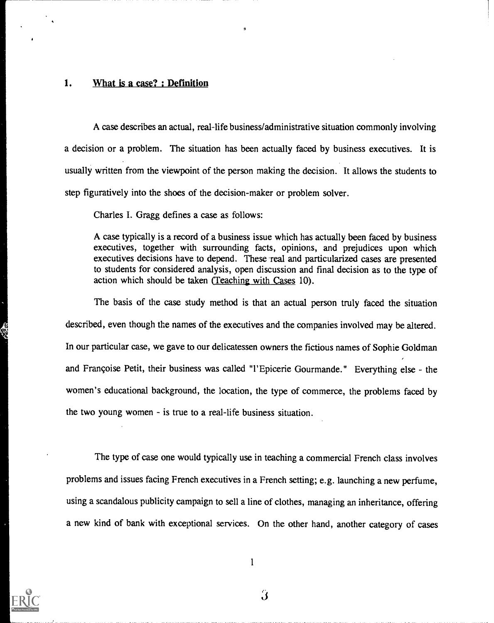#### 1. What is a case? : Definition

A case describes an actual, real-life business/administrative situation commonly involving a decision or a problem. The situation has been actually faced by business executives. It is usually written from the viewpoint of the person making the decision. It allows the students to step figuratively into the shoes of the decision-maker or problem solver.

Charles I. Gragg defines a case as follows:

A case typically is a record of a business issue which has actually been faced by business executives, together with surrounding facts, opinions, and prejudices upon which executives decisions have to depend. These real and particularized cases are presented to students for considered analysis, open discussion and final decision as to the type of action which should be taken (Teachinz with Cases 10).

The basis of the case study method is that an actual person truly faced the situation described, even though the names of the executives and the companies involved may be altered. In our particular case, we gave to our delicatessen owners the fictious names of Sophie Goldman and Françoise Petit, their business was called "l'Epicerie Gourmande." Everything else - the women's educational background, the location, the type of commerce, the problems faced by the two young women  $-$  is true to a real-life business situation.

The type of case one would typically use in teaching a commercial French class involves problems and issues facing French executives in a French setting; e.g. launching a new perfume, using a scandalous publicity campaign to sell a line of clothes, managing an inheritance, offering a new kind of bank with exceptional services. On the other hand, another category of cases



 $\ddot{\bm{3}}$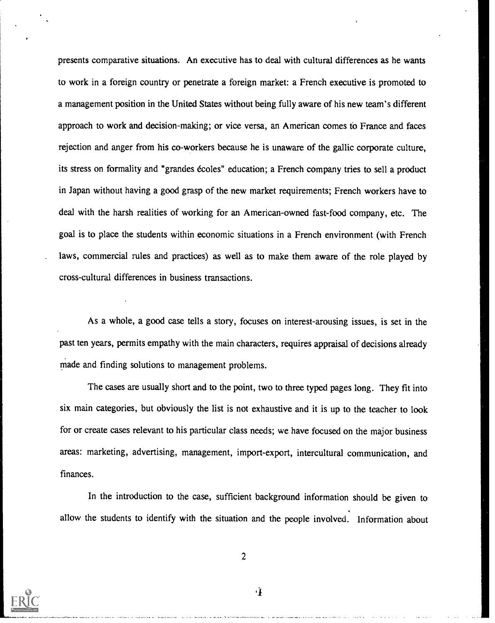presents comparative situations. An executive has to deal with cultural differences as he wants to work in a foreign country or penetrate a foreign market: a French executive is promoted to a management position in the United States without being fully aware of his new team's different approach to work and decision-making; or vice versa, an American comes to France and faces rejection and anger from his co-workers because he is unaware of the gallic corporate culture, its stress on formality and "grandes écoles" education; a French company tries to sell a product in Japan without having a good grasp of the new market requirements; French workers have to deal with the harsh realities of working for an American-owned fast-food company, etc. The goal is to place the students within economic situations in a French environment (with French laws, commercial rules and practices) as well as to make them aware of the role played by cross-cultural differences in business transactions.

As a whole, a good case tells a story, focuses on interest-arousing issues, is set in the past ten years, permits empathy with the main characters, requires appraisal of decisions already made and finding solutions to management problems.

The cases are usually short and to the point, two to three typed pages long. They fit into six main categories, but obviously the list is not exhaustive and it is up to the teacher to look for or create cases relevant to his particular class needs; we have focused on the major business areas: marketing, advertising, management, import-export, intercultural communication, and finances.

In the introduction to the case, sufficient background information should be given to allow the students to identify with the situation and the people involved. Information about



2

-4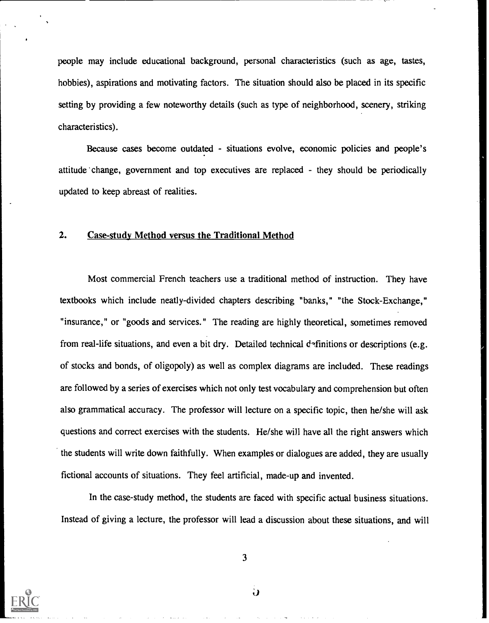people may include educational background, personal characteristics (such as age, tastes, hobbies), aspirations and motivating factors. The situation should also be placed in its specific setting by providing a few noteworthy details (such as type of neighborhood, scenery, striking characteristics).

Because cases become outdated - situations evolve, economic policies and people's attitude change, government and top executives are replaced - they should be periodically updated to keep abreast of realities.

#### 2. Case-study Method versus the Traditional Method

Most commercial French teachers use a traditional method of instruction. They have textbooks which include neatly-divided chapters describing "banks," "the Stock-Exchange," "insurance," or "goods and services." The reading are highly theoretical, sometimes removed from real-life situations, and even a bit dry. Detailed technical  $d$ -finitions or descriptions (e.g. of stocks and bonds, of oligopoly) as well as complex diagrams are included. These readings are followed by a series of exercises which not only test vocabulary and comprehension but often also grammatical accuracy. The professor will lecture on a specific topic, then he/she will ask questions and correct exercises with the students. He/she will have all the right answers which the students will write down faithfully. When examples or dialogues are added, they are usually fictional accounts of situations. They feel artificial, made-up and invented.

In the case-study method, the students are faced with specific actual business situations. Instead of giving a lecture, the professor will lead a discussion about these situations, and will



3

 $\ddot{\mathbf{u}}$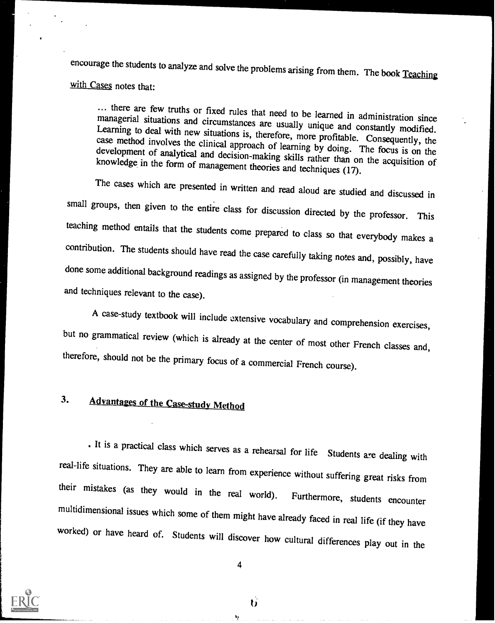encourage the students to analyze and solve the problems arising from them. The book Teaching with Cases notes that:

... there are few truths or fixed rules that need to be learned in administration since managerial situations and circumstances are usually unique and constantly modified. Learning to deal with new situations is, therefore

The cases which are presented in written and read aloud are studied and discussed in small groups, then given to the entire class for discussion directed by the professor. This teaching method entails that the students come prepared to class so that everybody makes <sup>a</sup> contribution. The students should have read the case carefully taking notes and, possibly, have done some additional background readings as assigned by the professor (in management theories and techniques relevant to the case).

A case-study textbook will include extensive vocabulary and comprehension exercises, but no grammatical review (which is already at the center of most other French classes and, therefore, should not be the primary focus of a commercial French course).

### 3. Advantages of the Case-study Method

It is a practical class which serves as a rehearsal for life Students are dealing with real-life situations. They are able to learn from experience without suffering great risks from their mistakes (as they would in the real world). Furthermore, students encounter multidimensional issues which some of them might have already faced in real life (if they have worked) or have heard of. Students will discover how cultural differences play out in the



4

υ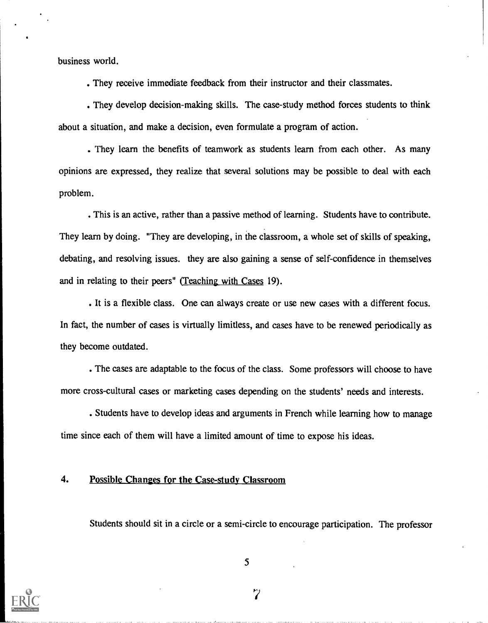business world.

They receive immediate feedback from their instructor and their classmates.

They develop decision-making skills. The case-study method forces students to think about a situation, and make a decision, even formulate a program of action.

They learn the benefits of teamwork as students learn from each other. As many opinions are expressed, they realize that several solutions may be possible to deal with each problem.

This is an active, rather than a passive method of learning. Students have to contribute. They learn by doing. "They are developing, in the classroom, a whole set of skills of speaking, debating, and resolving issues, they are also gaining a sense of self-confidence in themselves and in relating to their peers" (Teaching with Cases 19).

It is a flexible class. One can always create or use new cases with a different focus. In fact, the number of cases is virtually limitless, and cases have to be renewed periodically as they become outdated.

The cases are adaptable to the focus of the class. Some professors will choose to have more cross-cultural cases or marketing cases depending on the students' needs and interests.

Students have to develop ideas and arguments in French while learning how to manage time since each of them will have a limited amount of time to expose his ideas.

#### 4. Possible Changes for the Case-study Classroom

Students should sit in a circle or a semi-circle to encourage participation. The professor



5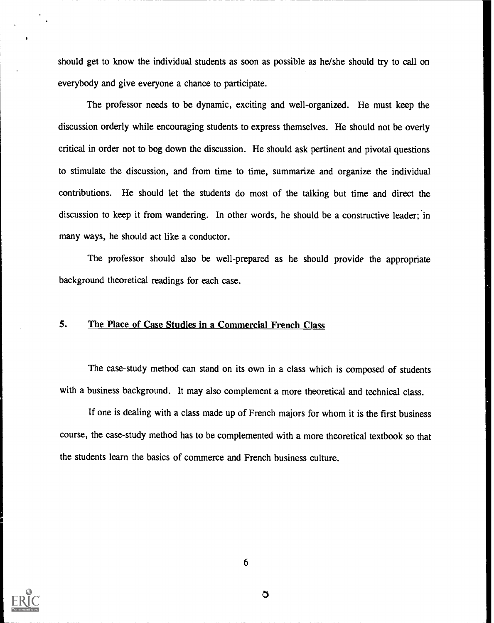should get to know the individual students as soon as possible as he/she should try to call on everybody and give everyone a chance to participate.

The professor needs to be dynamic, exciting and well-organized. He must keep the discussion orderly while encouraging students to express themselves. He should not be overly critical in order not to bog down the discussion. He should ask pertinent and pivotal questions to stimulate the discussion, and from time to time, summarize and organize the individual contributions. He should let the students do most of the talking but time and direct the discussion to keep it from wandering. In other words, he should be a constructive leader; in many ways, he should act like a conductor.

The professor should also be well-prepared as he should provide the appropriate background theoretical readings for each case.

#### 5. The Place of Case Studies in a Commercial French Class

The case-study method can stand on its own in a class which is composed of students with a business background. It may also complement a more theoretical and technical class.

If one is dealing with a class made up of French majors for whom it is the first business course, the case-study method has to be complemented with a more theoretical textbook so that the students learn the basics of commerce and French business culture.

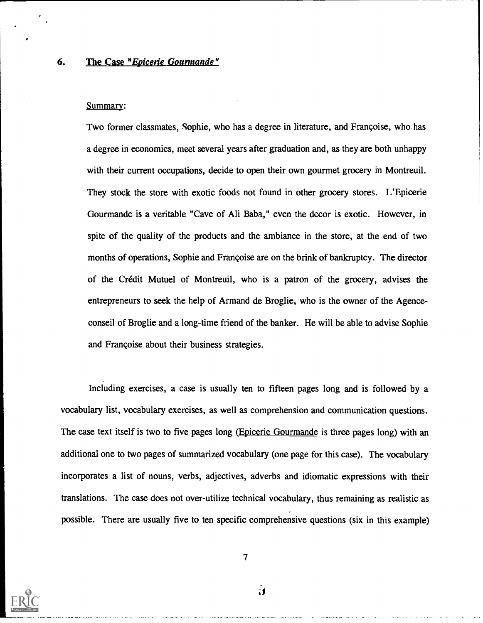#### 6. The Case "Epicerie Gourmande"

#### Summary:

Two former classmates, Sophie, who has a degree in literature, and Francoise, who has a degree in economics, meet several years after graduation and, as they are both unhappy with their current occupations, decide to open their own gourmet grocery in Montreuil. They stock the store with exotic foods not found in other grocery stores. L'Epicerie Gourmande is a veritable "Cave of Ali Baba," even the decor is exotic. However, in spite of the quality of the products and the ambiance in the store, at the end of two months of operations, Sophie and Francoise are on the brink of bankruptcy. The director of the Credit Mutuel of Montreuil, who is a patron of the grocery, advises the entrepreneurs to seek the help of Armand de Broglie, who is the owner of the Agenceconseil of Broglie and a long-time friend of the banker. He will be able to advise Sophie and Francoise about their business strategies.

Including exercises, a case is usually ten to fifteen pages long and is followed by a vocabulary list, vocabulary exercises, as well as comprehension and communication questions. The case text itself is two to five pages long (Epicerie Gourmande is three pages long) with an additional one to two pages of summarized vocabulary (one page for this case). The vocabulary incorporates a list of nouns, verbs, adjectives, adverbs and idiomatic expressions with their translations. The case does not over-utilize technical vocabulary, thus remaining as realistic as possible. There are usually five to ten specific comprehensive questions (six in this example)



7

 $\mathbf{J}$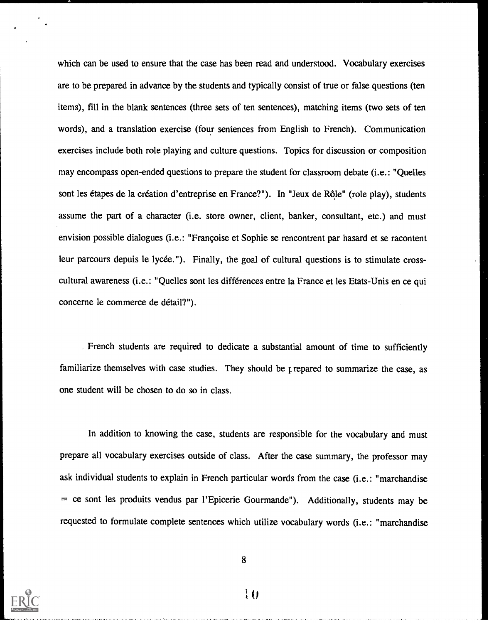which can be used to ensure that the case has been read and understood. Vocabulary exercises are to be prepared in advance by the students and typically consist of true or false questions (ten items), fill in the blank sentences (three sets of ten sentences), matching items (two sets of ten words), and a translation exercise (four sentences from English to French). Communication exercises include both role playing and culture questions. Topics for discussion or composition may encompass open-ended questions to prepare the student for classroom debate (i.e.: "Quelles sont les étapes de la création d'entreprise en France?"). In "Jeux de Rôle" (role play), students assume the part of a character (i.e. store owner, client, banker, consultant, etc.) and must envision possible dialogues (i.e.: "Frangoise et Sophie se rencontrent par hasard et se racontent leur parcours depuis le lycée."). Finally, the goal of cultural questions is to stimulate crosscultural awareness (i.e.: "Quelles sont les differences entre la France et les Etats-Unis en ce qui concerne le commerce de detail?").

. French students are required to dedicate a substantial amount of time to sufficiently familiarize themselves with case studies. They should be r repared to summarize the case, as one student will be chosen to do so in class.

In addition to knowing the case, students are responsible for the vocabulary and must prepare all vocabulary exercises outside of class. After the case summary, the professor may ask individual students to explain in French particular words from the case (i.e.: "marchandise = ce sont les produits vendus par l'Epicerie Gourmande"). Additionally, students may be requested to formulate complete sentences which utilize vocabulary words (i.e.: "marchandise



8

 $\overline{10}$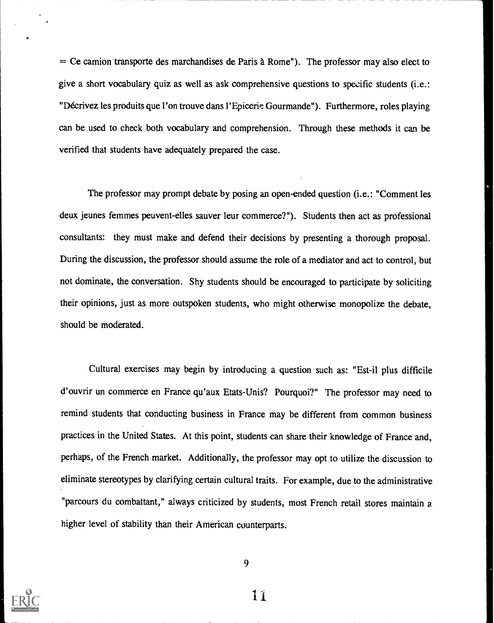$=$  Ce camion transporte des marchandises de Paris à Rome"). The professor may also elect to give a short vocabulary quiz as well as ask comprehensive questions to specific students (i.e.: "Décrivez les produits que l'on trouve dans l'Epicerie Gourmande"). Furthermore, roles playing can be used to check both vocabulary and comprehension. Through these methods it can be verified that students have adequately prepared the case.

The professor may prompt debate by posing an open-ended question (i.e.: "Comment les deux jeunes femmes peuvent-elles sauver leur commerce?"). Students then act as professional consultants: they must make and defend their decisions by presenting a thorough proposal. During the discussion, the professor should assume the role of a mediator and act to control, but not dominate, the conversation. Shy students should be encouraged to participate by soliciting their opinions, just as more outspoken students, who might otherwise monopolize the debate, should be moderated.

Cultural exercises may begin by introducing a question such as: "Est-il plus difficile d'ouvrir un commerce en France qu'aux Etats-Unis? Pourquoi?" The professor may need to remind students that conducting business in France may be different from common business practices in the United States. At this point, students can share their knowledge of France and, perhaps, of the French market. Additionally, the professor may opt to utilize the discussion to eliminate stereotypes by clarifying certain cultural traits. For example, due to the administrative "parcours du combattant," always criticized by students, most French retail stores maintain a higher level of stability than their American counterparts.

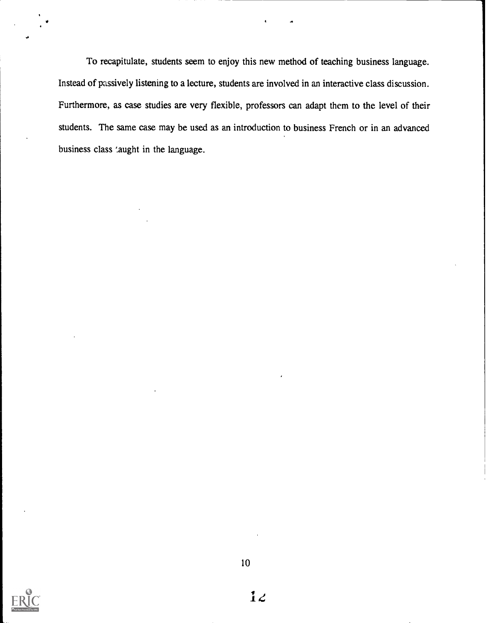To recapitulate, students seem to enjoy this new method of teaching business language. Instead of passively listening to a lecture, students are involved in an interactive class discussion. Furthermore, as case studies are very flexible, professors can adapt them to the level of their students. The same case may be used as an introduction to business French or in an advanced business class 'aught in the language.

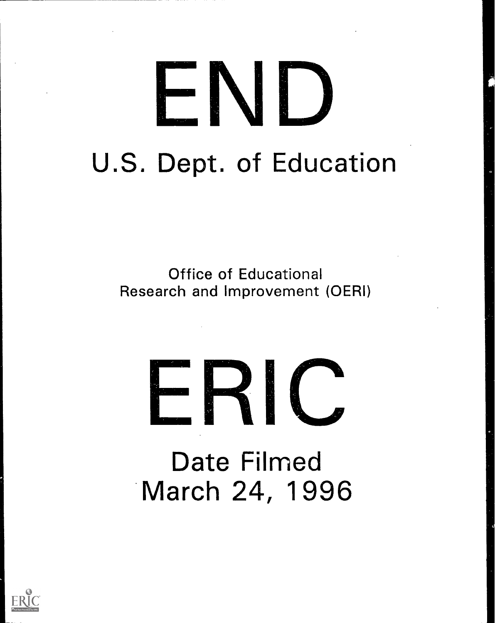## je<br>Dogodki NI) U.S. Dept. of Education

Office of Educational Research and Improvement (OERI)

# -RIC

Date Filmed March 24, 1996